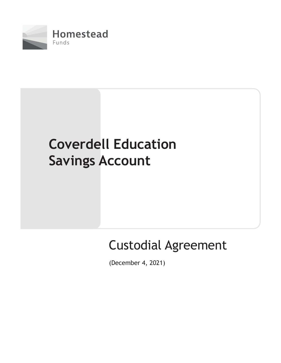

# **Coverdell Education Savings Account**

## Custodial Agreement

(December 4, 2021)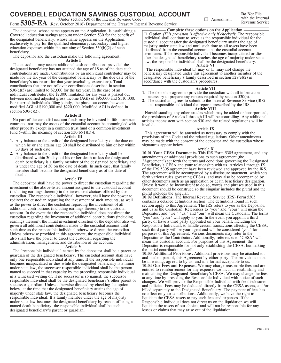## **COVERDELL EDUCATION SAVINGS CUSTODIAL ACCOUNT**

(Under section 530 of the Internal Revenue Code)

Form **5305-EA** (Rev. October 2016) Department of the Treasury Internal Revenue Service

The depositor, whose name appears on the Application, is establishing a Coverdell education savings account under Section 530 for the benefit of the designated beneficiary, whose name appears on the Application, exclusively to pay for the qualified elementary, secondary, and higher education expenses within the meaning of Section 530(b)(2) of such beneficiary.

The depositor and the custodian make the following agreement:

### **Article I**

The custodian may accept additional cash contributions provided the designated beneficiary has not attained the age of 18 as of the date such contributions are made. Contributions by an individual contributor may be made for the tax year of the designated beneficiary by the due date of the beneficiary's tax return for that year (excluding extensions). Total contributions that are not rollover contributions described in section 530(d)(5) are limited to \$2,000 for the tax year. In the case of an individual contributor, the \$2,000 limitation for any year is phased out between modified adjusted gross income (AGI) of \$95,000 and \$110,000. For married individuals filing jointly, the phase-out occurs between modified AGI of \$190,000 and \$220,000. Modified AGI is defined in section  $530(c)(2)$ .

#### **Article II**

No part of the custodial account funds may be invested in life insurance contracts, nor may the assets of the custodial account be commingled with other property except in a common trust fund or a common investment fund (within the meaning of section  $530(b)(1)(D)$ ).

#### **Article III**

- 1. Any balance to the credit of the designated beneficiary on the date on which he or she attains age 30 shall be distributed to him or her within 30 days of such date.
- Any balance to the credit of the designated beneficiary shall be **2.** distributed within 30 days of his or her death **unless** the designated death beneficiary is a family member of the designated beneficiary and is under the age of 30 on the date of death. In such case, that family member shall become the designated beneficiary as of the date of death.

#### **Article IV**

The depositor shall have the power to direct the custodian regarding the investment of the above-listed amount assigned to the custodial account (including earnings thereon) in the investment choices offered by the custodian. The responsible individual, however, shall have the power to redirect the custodian regarding the investment of such amounts, as well as the power to direct the custodian regarding the investment of all additional contributions (including earnings thereon) to the custodial account. In the event that the responsible individual does not direct the custodian regarding the investment of additional contributions (including earnings thereon), the initial investment direction of the depositor also will govern all additional contributions made to the custodial account until such time as the responsible individual otherwise directs the custodian. Unless otherwise provided in this agreement, the responsible individual also shall have the power to direct the custodian regarding the administration, management, and distribution of the account.

#### **Article V**

The "responsible individual" named by the depositor shall be a parent or guardian of the designated beneficiary. The custodial account shall have only one responsible individual at any time. If the responsible individual becomes incapacitated or dies while the designated beneficiary is a minor under state law, the successor responsible individual shall be the person named to succeed in that capacity by the preceding responsible individual in a witnessed writing or, if no successor is so named, the successor responsible individual shall be the designated beneficiary's other parent or successor guardian. Unless otherwise directed by checking the option below, at the time that the designated beneficiary attains the age of majority under state law, the designated beneficiary becomes the responsible individual. If a family member under the age of majority under state law becomes the designated beneficiary by reason of being a named death beneficiary, the responsible individual shall be such designated beneficiary's parent or guardian.

□ Amendment with the Internal Revenue Service

**Do Not** File

**Complete these options on the Application.**

l **Option** *(This provision is effective only if checked)*: The responsible individual shall continue to serve as the responsible individual for the custodial account after the designated beneficiary attains the age of majority under state law and until such time as all assets have been distributed from the custodial account and the custodial account terminates. If the responsible individual becomes incapacitated or dies after the designated beneficiary reaches the age of majority under state law, the responsible individual shall be the designated beneficiary.

**Article VI**<br>The responsible individual  $\Box$  may or  $\Box$  **may not** change the beneficiary designated under this agreement to another member of the designated beneficiary's family described in section 529(e)(2) in accordance with the custodian's procedures.

#### **Article VII**

- The depositor agrees to provide the custodian with all information **1.** necessary to prepare any reports required by section 530(h).
- The custodian agrees to submit to the Internal Revenue Service (IRS) **2.** and responsible individual the reports prescribed by the IRS.

#### **Article VIII**

Notwithstanding any other articles which may be added or incorporated, the provisions of Articles I through III will be controlling. Any additional articles inconsistent with section 530 and the related regulations will be invalid.

#### **Article IX**

This agreement will be amended as necessary to comply with the provisions of the Code and the related regulations. Other amendments may be made with the consent of the depositor and the custodian whose signatures appear below.

#### **Article X**

**10.01 Your CESA Documents.** This IRS Form 5305 agreement, and any amendments or additional provisions to such agreement (the "Agreement") set forth the terms and conditions governing the Designated Beneficiary's CESA and your relationship with us. Articles I through IX of the IRS 5305 agreement have been reviewed and approved by the IRS. The agreement will be accompanied by a disclosure statement, which sets forth various rules governing CESAs, and may also be accompanied by other documents such as an application or death beneficiary designation. Unless it would be inconsistent to do so, words and phrases used in this document should be construed so the singular includes the plural and the plural includes the singular.

**10.02 Definitions.** The Internal Revenue Service (IRS) Form 5305 contains a detailed definitions section. The definitions found in such section apply to this Agreement. The IRS refers to you as the Depositor, and us as the Custodian. References to "you" and "your" will mean the Depositor, and "we," "us," and "our" will mean the Custodian. The terms "you" and "your" will apply to you. In the event you appoint a third party, or have a third party appointed on your behalf, including the Responsible Individual, to handle certain transactions affecting the CESA, such third party will be your agent and will be considered "you" for purposes of this Agreement. Various documents may refer to the Depositor as the Contributor. Additionally, references to "CESA" will mean this custodial account. For purposes of this Agreement, the Depositor is responsible for not only establishing the CESA, but making the initial contribution as well.

**10.03 Additional Provisions.** Additional provisions may be attached to, and made a part of, this Agreement by either party. The provisions must be in writing, agreed to by us, and in a format acceptable to us. **10.04 Our Fees and Expenses.** We may charge reasonable fees and are entitled to reimbursement for any expenses we incur in establishing and maintaining the Designated Beneficiary's CESA. We may change the fees at any time by providing the Responsible Individual with notice of such changes. We will provide the Responsible Individual with fee disclosures and policies. Fees may be deducted directly from the CESA assets, and/or billed separately to the Designated Beneficiary. The payment of fees has no effect on your contributions. Additionally, we have the right to liquidate the CESA assets to pay such fees and expenses. If the Responsible Individual does not direct us on the liquidation we will liquidate the assets of our choice, and will not be responsible for any losses or claims that may arise out of the liquidation.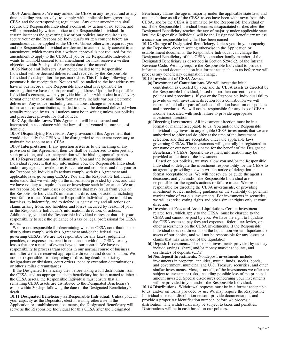**10.05 Amendments.** We may amend the CESA in any respect, and at any time including retroactively, to comply with applicable laws governing CESA and the corresponding regulations. Any other amendments shall require the Responsible Individual's consent, by action or no action, and will be preceded by written notice to the Responsible Individual. In certain instances the governing law or our policies may require us to secure your or the Responsible Individual's written consent before an amendment can be applied to the CESA. Unless otherwise required, you and the Responsible Individual are deemed to automatically consent to an amendment, which means that a written approval is not required for the amendment to apply to the CESA. If you or the Responsible Individual wants to withhold consent to an amendment we must receive a written objection within 30 days of the receipt date of the amendment. **10.06 Notice and Delivery.** Any notice mailed to the Responsible Individual will be deemed delivered and received by the Responsible Individual five days after the postmark date. This fifth day following the postmark is the receipt date. Notices will be mailed to the last address we have in our records. The Responsible Individual is responsible for ensuring that we have the proper mailing address. Upon the Responsible Individual's consent, we may provide him or her with notice in a delivery format other than by mail. Such formats may include various electronic deliveries. Any notice, including terminations, change in personal information, or contributions, mailed to us will be deemed delivered when actually received by us. All notices must be in writing unless our policies and procedures provide for oral notices.

**10.07 Applicable Laws.** This Agreement will be construed and interpreted in accordance with the laws of, and venued in, our state of domicile.

**10.08 Disqualifying Provisions.** Any provision of this Agreement that would disqualify the CESA will be disregarded to the extent necessary to maintain the account as a CESA.

**10.09 Interpretation.** If any question arises as to the meaning of any provision of this Agreement, then we shall be authorized to interpret any such provision, and our interpretation will be binding upon all parties. **10.10 Representations and Indemnity.** You and the Responsible Individual represent that any information you, the Responsible Individual, and/or any agents provide to us is accurate and complete, and that your or the Responsible Individual's actions comply with this Agreement and applicable laws governing CESAs. You and the Responsible Individual understand that we will rely on the information provided by you, and that we have no duty to inquire about or investigate such information. We are not responsible for any losses or expenses that may result from your or the Responsible Individual's information, direction, or actions, including your failure to act. You and the Responsible Individual agree to hold us harmless, to indemnify, and to defend us against any and all actions or claims arising from, and liabilities and losses incurred by reason of your or the Responsible Individual's information, direction, or actions. Additionally, you and the Responsible Individual represent that it is your responsibility to seek the guidance of a tax or legal professional for CESA issues.

We are not responsible for determining whether CESA contributions or distributions comply with this Agreement and/or the federal laws governing CESAs. We are not responsible for any taxes, judgments, penalties, or expenses incurred in connection with this CESA, or any losses that are a result of events beyond our control. We have no responsibility to process transactions in our normal course of business until after we have received appropriate direction and documentation. We are not responsible for interpreting or directing death beneficiary designations or divisions, court orders, penalty exception determinations, or other similar circumstances.

If the Designated Beneficiary dies before taking a full distribution from the CESA, and no appropriate death beneficiary has been named to inherit the CESA assets, the Responsible Individual must ensure that all remaining CESA assets are distributed to the Designated Beneficiary's estate within 30 days following the date of the Designated Beneficiary's death.

**10.11 Designated Beneficiary as Responsible Individual.** Unless you, in your capacity as the Depositor, elect in writing otherwise in the Application or establishment documents, the Designated Beneficiary will serve as the Responsible Individual for this CESA after the Designated

Beneficiary attains the age of majority under the applicable state law, and until such time as all of the CESA assets have been withdrawn from this CESA, and/or the CESA is terminated by the Responsible Individual or us. If the Responsible Individual becomes incapacitated or dies after the Designated Beneficiary reaches the age of majority under applicable state law, the Responsible Individual will be the Designated Beneficiary unless a successor responsible individual has been named.

**10.12 Change of Designated Beneficiary.** Unless you, in your capacity as the Depositor, elect in writing otherwise in the Application or establishment documents, the Responsible Individual can change the Designated Beneficiary of this CESA to another family member of the Designated Beneficiary as described in Section 529(e)(2) of the Internal Revenue Code. We may require the Responsible Individual to provide information and documentation in a format acceptable to us before we will process any beneficiary designation change.

**10.13 Investment of CESA Assets.**

- **Investment of Contributions.** We will invest the initial **(a)** contribution as directed by you, and the CESA assets as directed by the Responsible Individual, based on our then-current investment policies and procedures. If you or the Responsible Individual fail to provide us with investment direction for a contribution we will return or hold all or part of such contribution based on our policies and procedures. We will not be responsible for any loss of CESA income associated with such failure to provide appropriate investment direction.
- **Directing Investments.** All investment direction must be in a **(b)** format or manner acceptable to us. You and/or the Responsible Individual may invest in any eligible CESA investments that we are authorized to offer and do offer at the time of the investment selection, and that are acceptable under the applicable laws governing CESAs. The investments will generally be registered in our name or our nominee's name for the benefit of the Designated Beneficiary's CESA. Specific investment information may be provided at the time of the investment.

Based on our policies, we may allow you and/or the Responsible Individual to delegate the investment responsibility for the CESA to an agent by providing us with written notice of delegation in a format acceptable to us. We will not review or guide the agent's decisions, and you and/or the Responsible Individual are responsible for the agent's actions or failure to act. We are not responsible for directing the CESA investments, or providing investment advice, including guidance on the suitability or potential market value of various investments. For investments in securities, we will exercise voting rights and other similar rights only at your direction.

- **Investment Fees and Asset Liquidation.** Certain investment-**(c)** related fees, which apply to the CESA, must be charged to the CESA and cannot be paid by you. We have the right to liquidate the CESA assets to pay fees and expenses, federal tax levies, or other assessments on the CESA investments. If the Responsible Individual does not direct us on the liquidation we will liquidate the assets of our choice, and will not be responsible for any losses or claims that may arise out of the liquidation.
- **Deposit Investments.** The deposit investments provided by us may **(d)** include savings, share, and/or money market accounts, and certificates of deposits (CDs).
- **Nondeposit Investments.** Nondeposit investments include **(e)** investments in property, annuities, mutual funds, stocks, bonds, and government, municipal and U.S. Treasury securities, and other similar investments. Most, if not all, of the investments we offer are subject to investment risks, including possible loss of the principal amount invested. Special disclosures concerning your investments will be provided to you and/or the Responsible Individual.

**10.14 Distributions.** Withdrawal requests must be in a format acceptable to us, and/or on forms provided by us. We may require the Responsible Individual to elect a distribution reason, provide documentation, and provide a proper tax identification number, before we process a distribution. The withdrawals may be subject to taxes and penalties. Distributions will be in cash based on our policies.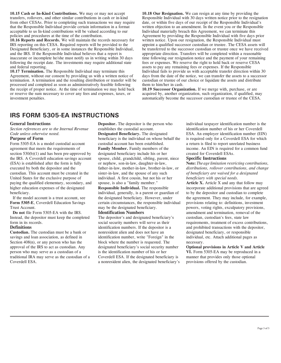**10.15 Cash or In-Kind Contributions.** We may or may not accept transfers, rollovers, and other similar contributions in cash or in-kind from other CESAs. Prior to completing such transactions we may require that the Responsible Individual provide certain information in a format acceptable to us In-kind contributions will be valued according to our policies and procedures at the time of the contribution.

**10.16 Reports and Records.** We will maintain the records necessary for IRS reporting on this CESA. Required reports will be provided to the Designated Beneficiary, or in some instances the Responsible Individual, and the IRS. If the Responsible Individual believes that a report is inaccurate or incomplete he/she must notify us in writing within 30 days following the receipt date. The investments may require additional state and federal reporting.

**10.17 Termination.** The Responsible Individual may terminate this Agreement, without our consent by providing us with a written notice of termination. A termination and the resulting distribution or transfer will be processed and completed as soon as administratively feasible following the receipt of proper notice. At the time of termination we may hold back or reserve the sum necessary to cover any fees and expenses, taxes, or investment penalties.

**10.18 Our Resignation.** We can resign at any time by providing the Responsible Individual with 30 days written notice prior to the resignation date, or within five days of our receipt of the Responsible Individual's written objection to an amendment. In the event you or the Responsible Individual materially breach this Agreement, we can terminate this Agreement by providing the Responsible Individual with five days prior written notice. Upon our resignation, the Responsible Individual must appoint a qualified successor custodian or trustee. The CESA assets will be transferred to the successor custodian or trustee once we have received appropriate direction. Transfers will be completed within a reasonable time following our resignation notice and the payment of your remaining fees or expenses. We reserve the right to hold back or reserve CESA assets to pay any remaining fees or expenses. If the Responsible Individual fails to provide us with acceptable transfer direction within 30 days from the date of the notice, we can transfer the assets to a successor custodian or trustee of our choice or liquidate the assets and distribute them to him/her in cash.

**10.19 Successor Organization.** If we merge with, purchase, or are acquired by, another organization, such organization, if qualified, may automatically become the successor custodian or trustee of the CESA.

### **IRS FORM 5305-EA INSTRUCTIONS**

### **General Instructions**

*Section references are to the Internal Revenue Code unless otherwise noted.*

#### **Purpose of Form**

Form 5305-EA is a model custodial account agreement that meets the requirements of section 530(b)(1) and has been pre-approved by the IRS. A Coverdell education savings account (ESA) is established after the form is fully executed by both the depositor and the custodian. This account must be created in the United States for the exclusive purpose of paying the qualified elementary, secondary, and higher education expenses of the designated beneficiary.

If the model account is a trust account, see **Form 5305-E**, Coverdell Education Savings Trust Account.

**Do not** file Form 5305-EA with the IRS. Instead, the depositor must keep the completed form in its records.

#### **Definitions**

**Custodian.** The custodian must be a bank or savings and loan association, as defined in Section  $408(n)$ , or any person who has the approval of the IRS to act as custodian. Any person who may serve as a custodian of a traditional IRA may serve as the custodian of a Coverdell ESA.

**Depositor.** The depositor is the person who establishes the custodial account. **Designated Beneficiary.** The designated beneficiary is the individual on whose behalf the custodial account has been established. **Family Member.** Family members of the designated beneficiary include his or her spouse, child, grandchild, sibling, parent, niece or nephew, son-in-law, daughter-in-law, father-in-law, mother-in-law, brother-in-law, or sister-in-law, and the spouse of any such individual. A first cousin, but not his or her spouse, is also a "family member." **Responsible Individual.** The responsible individual, generally, is a parent or guardian of the designated beneficiary. However, under certain circumstances, the responsible individual

may be the designated beneficiary. **Identification Numbers**

The depositor's and designated beneficiary's social security numbers will serve as their identification numbers. If the depositor is a nonresident alien and does not have an identification number, write "Foreign" in the block where the number is requested. The designated beneficiary's social security number is the identification number of his or her Coverdell ESA. If the designated beneficiary is a nonresident alien, the designated beneficiary's individual taxpayer identification number is the identification number of his or her Coverdell ESA. An employer identification number (EIN) is required only for a Coverdell ESA for which a return is filed to report unrelated business income. An EIN is required for a common fund created for Coverdell ESAs.

#### **Specific Instructions**

**Note:** *The age limitation restricting contributions, distributions, rollover contributions, and change of beneficiary are waived for a designated beneficiary with special needs.*

**Article X.** Article X and any that follow may incorporate additional provisions that are agreed to by the depositor and custodian to complete the agreement. They may include, for example, provisions relating to: definitions, investment powers, voting rights, exculpatory provisions, amendment and termination, removal of the custodian, custodian's fees, state law requirements, treatment of excess contributions, and prohibited transactions with the depositor, designated beneficiary, or responsible individual, etc. Attach additional pages as necessary.

**Optional provisions in Article V and Article VI.** Form 5305-EA may be reproduced in a manner that provides only those optional provisions offered by the custodian.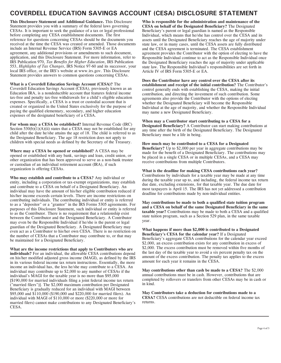## **COVERDELL EDUCATION SAVINGS ACCOUNT (CESA) DISCLOSURE STATEMENT**

**This Disclosure Statement and Additional Guidance.** This Disclosure Statement provides you with a summary of the federal laws governing CESAs. It is important to seek the guidance of a tax or legal professional before completing any CESA establishment documents. The first reference for questions concerning CESAs should be the documents you received at the time the CESA was created or amended. Those documents include an Internal Revenue Service (IRS) Form 5305-E or EA agreement, any additional provisions or amendments to such document, application, and this Disclosure Statement. For more information, refer to IRS Publication 970, *Tax Benefits for Higher Education*, IRS Publication 553, *Highlights of Tax Changes*, IRS Notice 97-60 and its successor, your local IRS office, or the IRS's website at www.irs.gov. This Disclosure Statement provides answers to common questions concerning CESAs.

**What is a Coverdell Education Savings Account (CESA)?** The Coverdell Education Savings Account (CESA), previously known as an Education IRA, is a nondeductible account that features federal income tax-free and penalty tax-free withdrawals for a child's eligible education expenses. Specifically, a CESA is a trust or custodial account that is created or organized in the United States exclusively for the purpose of paying the qualified elementary, secondary, and higher education expenses of the designated beneficiary of a CESA.

**For whom may a CESA be established?** Internal Revenue Code (IRC) Section  $530(b)(1)(A)(ii)$  states that a CESA may not be established for any child after the date he/she attains the age of 18. The child is referred to as the Designated Beneficiary. The age 18 restriction does not apply to children with special needs as defined by the Secretary of the Treasury.

**Where may a CESA be opened or established?** A CESA may be opened or established with any bank, savings and loan, credit union, or other organization that has been approved to serve as a non-bank trustee or custodian of an individual retirement account (IRA), if such organization is offering CESAs.

**Who may establish and contribute to a CESA?** Any individual or entity, including a corporation or tax-exempt organizations, may establish and contribute to a CESA on behalf of a Designated Beneficiary. An individual may have the amount of his/her eligible contribution reduced if his/her income exceeds certain levels. There are income restrictions on contributing individuals. The contributing individual or entity is referred to as a "depositor" or a "grantor" in the IRS Forms 5305 agreements. For purposes of this Disclosure Statement, such individual or entity is referred to as the Contributor. There is no requirement that a relationship exist between the Contributor and the Designated Beneficiary. A Contributor may even be the Responsible Individual if he/she is the parent or legal guardian of the Designated Beneficiary. A Designated Beneficiary may even act as a Contributor to his/her own CESA. There is no restriction on the number of CESAs that a Contributor may contribute to, or that may be maintained for a Designated Beneficiary.

**What are the income restrictions that apply to Contributors who are individuals?** For an individual, the allowable CESA contributions depend on his/her modified adjusted gross income (MAGI), as defined by the IRS in its various federal income tax return instructions. Essentially, the more income an individual has, the less he/she may contribute to a CESA. An individual may contribute up to \$2,000 to any number of CESAs if the individual's MAGI for the taxable year is no more than \$95,000 [\$190,000 for married individuals filing a joint federal income tax return ("married filers")]. The \$2,000 maximum contribution per Designated Beneficiary is gradually reduced for an individual with MAGI between \$95,000 and \$110,000 (\$190,000 and \$220,000 for married filers). An individual with MAGI of \$110,000 or more (\$220,000 or more for married filers) cannot make contributions to any Designated Beneficiary's CESA.

**Who is responsible for the administration and maintenance of the CESA on behalf of the Designated Beneficiary?** The Designated Beneficiary's parent or legal guardian is named as the Responsible Individual, which means that he/she has control over the CESA and its assets until the Designated Beneficiary reaches the age of majority under state law, or in many cases, until the CESA assets are fully distributed and the CESA agreement is terminated. The CESA establishment agreement provides the Contributor with the option of electing to have the Responsible Individual continue to act as the Responsible Individual once the Designated Beneficiary reaches the age of majority under applicable state law. The Responsible Individual's responsibilities are set forth in Article IV of IRS Form 5305-E or EA.

**Does the Contributor have any control over the CESA after its establishment and receipt of the initial contribution?** The Contributor's control generally ends with establishing the CESA, making the initial contribution, and directing the investment of such contribution. Some agreements also provide the Contributor with the options of electing whether the Designated Beneficiary will become the Responsible Individual at the age of majority, and whether the Responsible Individual may name a new Designated Beneficiary.

**When may a Contributor start contributing to a CESA for a Designated Beneficiary?** A Contributor can start making contributions at any time after the birth of the Designated Beneficiary. The Designated Beneficiary must be a life in being.

**How much may be contributed to a CESA for a Designated Beneficiary?** Up to \$2,000 per year in aggregate contributions may be made for the benefit of a Designated Beneficiary. The contributions may be placed in a single CESA or in multiple CESAs, and a CESA may receive contributions from multiple Contributors.

**What is the deadline for making CESA contributions each year?** Contributions by individuals for a taxable year may be made at any time during the taxable year up to, and including, the federal income tax return due date, excluding extensions, for that taxable year. The due date for

most taxpayers is April 15. The IRS has not yet addressed a contribution

deadline for contributions made by non-individual entities.

**May contributions be made to both a qualified state tuition program and a CESA on behalf of the same Designated Beneficiary in the same taxable year?** Contributions may be made to both a CESA and a qualified state tuition program, such as a Section 529 plan, in the same taxable year.

**What happens if more than \$2,000 is contributed to a Designated Beneficiary's CESA for the calendar year?** If a Designated Beneficiary's aggregate CESA contributions for the calendar year exceed \$2,000, an excess contribution exists for any contribution in excess of \$2,000. The excess contribution must be removed within five months of the last day of the taxable year to avoid a six percent penalty tax on the amount of the excess contribution. The penalty tax applies to the excess amount for each year it remains in the CESA.

**May contributions other than cash be made to a CESA?** The \$2,000 annual contributions must be in cash. However, contributions that are completed by rollovers or transfers from other CESAs may be in cash or in kind.

**May Contributors take a deduction for contributions made to a CESA?** CESA contributions are not deductible on federal income tax returns.